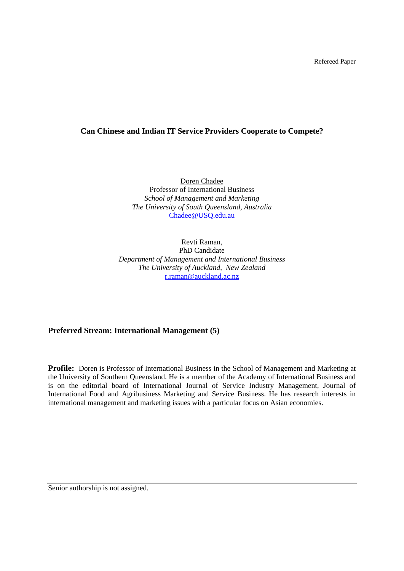# **Can Chinese and Indian IT Service Providers Cooperate to Compete?**

Doren Chadee Professor of International Business *School of Management and Marketing The University of South Queensland, Australia*  [Chadee@USQ.edu.au](mailto:Chadee@USQ.edu.au)

Revti Raman, PhD Candidate *Department of Management and International Business The University of Auckland, New Zealand*  [r.raman@auckland.ac.nz](mailto:r.raman@auckland.ac.nz)

**Preferred Stream: International Management (5)**

**Profile:** Doren is Professor of International Business in the School of Management and Marketing at the University of Southern Queensland. He is a member of the Academy of International Business and is on the editorial board of International Journal of Service Industry Management, Journal of International Food and Agribusiness Marketing and Service Business. He has research interests in international management and marketing issues with a particular focus on Asian economies.

Senior authorship is not assigned.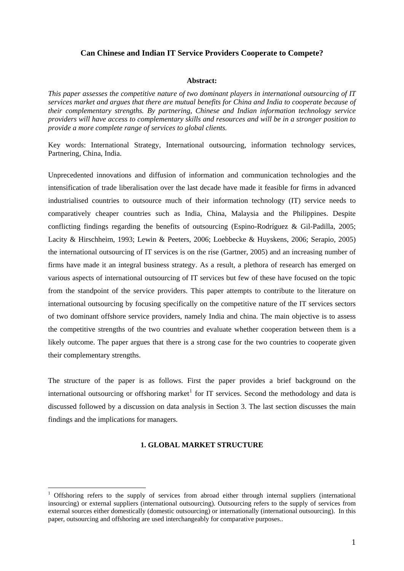# **Can Chinese and Indian IT Service Providers Cooperate to Compete?**

## **Abstract:**

*This paper assesses the competitive nature of two dominant players in international outsourcing of IT services market and argues that there are mutual benefits for China and India to cooperate because of their complementary strengths. By partnering, Chinese and Indian information technology service providers will have access to complementary skills and resources and will be in a stronger position to provide a more complete range of services to global clients.* 

Key words: International Strategy, International outsourcing, information technology services, Partnering, China, India.

Unprecedented innovations and diffusion of information and communication technologies and the intensification of trade liberalisation over the last decade have made it feasible for firms in advanced industrialised countries to outsource much of their information technology (IT) service needs to comparatively cheaper countries such as India, China, Malaysia and the Philippines. Despite conflicting findings regarding the benefits of outsourcing (Espino-Rodríguez & Gil-Padilla, 2005; Lacity & Hirschheim, 1993; Lewin & Peeters, 2006; Loebbecke & Huyskens, 2006; Serapio, 2005) the international outsourcing of IT services is on the rise (Gartner, 2005) and an increasing number of firms have made it an integral business strategy. As a result, a plethora of research has emerged on various aspects of international outsourcing of IT services but few of these have focused on the topic from the standpoint of the service providers. This paper attempts to contribute to the literature on international outsourcing by focusing specifically on the competitive nature of the IT services sectors of two dominant offshore service providers, namely India and china. The main objective is to assess the competitive strengths of the two countries and evaluate whether cooperation between them is a likely outcome. The paper argues that there is a strong case for the two countries to cooperate given their complementary strengths.

The structure of the paper is as follows. First the paper provides a brief background on the international outsourcing or offshoring market<sup>[1](#page-1-0)</sup> for IT services. Second the methodology and data is discussed followed by a discussion on data analysis in Section 3. The last section discusses the main findings and the implications for managers.

# **1. GLOBAL MARKET STRUCTURE**

1

<span id="page-1-0"></span><sup>&</sup>lt;sup>1</sup> Offshoring refers to the supply of services from abroad either through internal suppliers (international insourcing) or external suppliers (international outsourcing). Outsourcing refers to the supply of services from external sources either domestically (domestic outsourcing) or internationally (international outsourcing). In this paper, outsourcing and offshoring are used interchangeably for comparative purposes..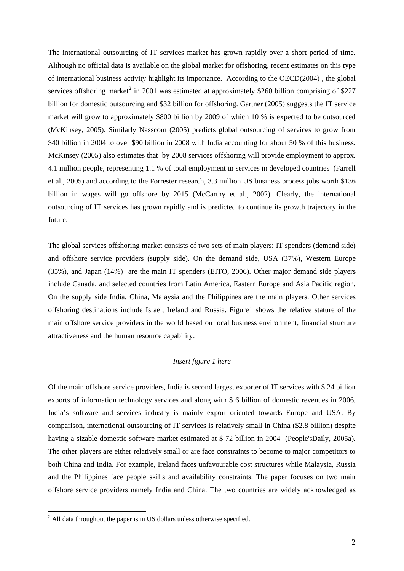The international outsourcing of IT services market has grown rapidly over a short period of time. Although no official data is available on the global market for offshoring, recent estimates on this type of international business activity highlight its importance. According to the OECD(2004) , the global services offshoring market<sup>[2](#page-2-0)</sup> in 2001 was estimated at approximately \$260 billion comprising of \$227 billion for domestic outsourcing and \$32 billion for offshoring. Gartner (2005) suggests the IT service market will grow to approximately \$800 billion by 2009 of which 10 % is expected to be outsourced (McKinsey, 2005). Similarly Nasscom (2005) predicts global outsourcing of services to grow from \$40 billion in 2004 to over \$90 billion in 2008 with India accounting for about 50 % of this business. McKinsey (2005) also estimates that by 2008 services offshoring will provide employment to approx. 4.1 million people, representing 1.1 % of total employment in services in developed countries (Farrell et al., 2005) and according to the Forrester research, 3.3 million US business process jobs worth \$136 billion in wages will go offshore by 2015 (McCarthy et al., 2002). Clearly, the international outsourcing of IT services has grown rapidly and is predicted to continue its growth trajectory in the future.

The global services offshoring market consists of two sets of main players: IT spenders (demand side) and offshore service providers (supply side). On the demand side, USA (37%), Western Europe (35%), and Japan (14%) are the main IT spenders (EITO, 2006). Other major demand side players include Canada, and selected countries from Latin America, Eastern Europe and Asia Pacific region. On the supply side India, China, Malaysia and the Philippines are the main players. Other services offshoring destinations include Israel, Ireland and Russia. Figure1 shows the relative stature of the main offshore service providers in the world based on local business environment, financial structure attractiveness and the human resource capability.

# *Insert figure 1 here*

Of the main offshore service providers, India is second largest exporter of IT services with \$ 24 billion exports of information technology services and along with \$ 6 billion of domestic revenues in 2006. India's software and services industry is mainly export oriented towards Europe and USA. By comparison, international outsourcing of IT services is relatively small in China (\$2.8 billion) despite having a sizable domestic software market estimated at \$ 72 billion in 2004 (People'sDaily, 2005a). The other players are either relatively small or are face constraints to become to major competitors to both China and India. For example, Ireland faces unfavourable cost structures while Malaysia, Russia and the Philippines face people skills and availability constraints. The paper focuses on two main offshore service providers namely India and China. The two countries are widely acknowledged as

1

<span id="page-2-0"></span> $2$  All data throughout the paper is in US dollars unless otherwise specified.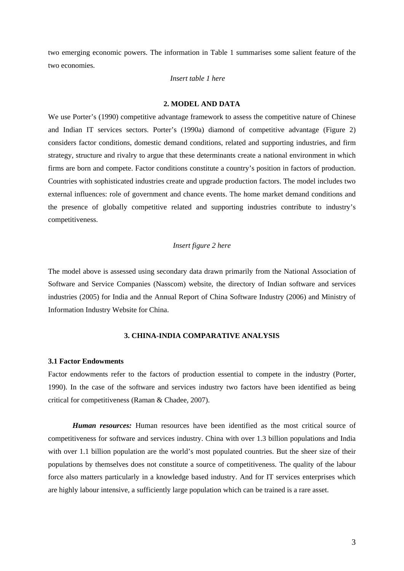two emerging economic powers. The information in Table 1 summarises some salient feature of the two economies.

## *Insert table 1 here*

## **2. MODEL AND DATA**

We use Porter's (1990) competitive advantage framework to assess the competitive nature of Chinese and Indian IT services sectors. Porter's (1990a) diamond of competitive advantage (Figure 2) considers factor conditions, domestic demand conditions, related and supporting industries, and firm strategy, structure and rivalry to argue that these determinants create a national environment in which firms are born and compete. Factor conditions constitute a country's position in factors of production. Countries with sophisticated industries create and upgrade production factors. The model includes two external influences: role of government and chance events. The home market demand conditions and the presence of globally competitive related and supporting industries contribute to industry's competitiveness.

## *Insert figure 2 here*

The model above is assessed using secondary data drawn primarily from the National Association of Software and Service Companies (Nasscom) website, the directory of Indian software and services industries (2005) for India and the Annual Report of China Software Industry (2006) and Ministry of Information Industry Website for China.

# **3. CHINA-INDIA COMPARATIVE ANALYSIS**

#### **3.1 Factor Endowments**

Factor endowments refer to the factors of production essential to compete in the industry (Porter, 1990). In the case of the software and services industry two factors have been identified as being critical for competitiveness (Raman & Chadee, 2007).

*Human resources:* Human resources have been identified as the most critical source of competitiveness for software and services industry. China with over 1.3 billion populations and India with over 1.1 billion population are the world's most populated countries. But the sheer size of their populations by themselves does not constitute a source of competitiveness. The quality of the labour force also matters particularly in a knowledge based industry. And for IT services enterprises which are highly labour intensive, a sufficiently large population which can be trained is a rare asset.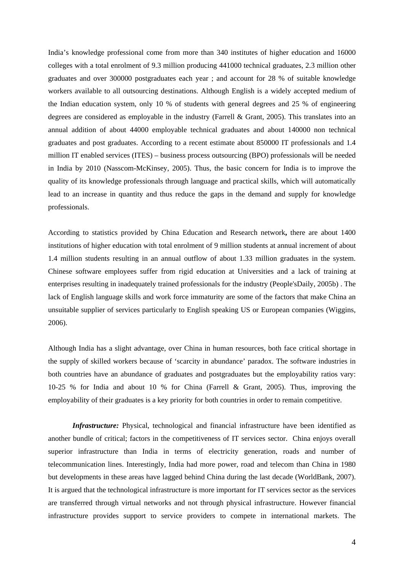India's knowledge professional come from more than 340 institutes of higher education and 16000 colleges with a total enrolment of 9.3 million producing 441000 technical graduates, 2.3 million other graduates and over 300000 postgraduates each year ; and account for 28 % of suitable knowledge workers available to all outsourcing destinations. Although English is a widely accepted medium of the Indian education system, only 10 % of students with general degrees and 25 % of engineering degrees are considered as employable in the industry (Farrell & Grant, 2005). This translates into an annual addition of about 44000 employable technical graduates and about 140000 non technical graduates and post graduates. According to a recent estimate about 850000 IT professionals and 1.4 million IT enabled services (ITES) – business process outsourcing (BPO) professionals will be needed in India by 2010 (Nasscom-McKinsey, 2005). Thus, the basic concern for India is to improve the quality of its knowledge professionals through language and practical skills, which will automatically lead to an increase in quantity and thus reduce the gaps in the demand and supply for knowledge professionals.

According to statistics provided by China Education and Research network**,** there are about 1400 institutions of higher education with total enrolment of 9 million students at annual increment of about 1.4 million students resulting in an annual outflow of about 1.33 million graduates in the system. Chinese software employees suffer from rigid education at Universities and a lack of training at enterprises resulting in inadequately trained professionals for the industry (People'sDaily, 2005b) . The lack of English language skills and work force immaturity are some of the factors that make China an unsuitable supplier of services particularly to English speaking US or European companies (Wiggins, 2006).

Although India has a slight advantage, over China in human resources, both face critical shortage in the supply of skilled workers because of 'scarcity in abundance' paradox. The software industries in both countries have an abundance of graduates and postgraduates but the employability ratios vary: 10-25 % for India and about 10 % for China (Farrell & Grant, 2005). Thus, improving the employability of their graduates is a key priority for both countries in order to remain competitive.

*Infrastructure:* Physical, technological and financial infrastructure have been identified as another bundle of critical; factors in the competitiveness of IT services sector. China enjoys overall superior infrastructure than India in terms of electricity generation, roads and number of telecommunication lines. Interestingly, India had more power, road and telecom than China in 1980 but developments in these areas have lagged behind China during the last decade (WorldBank, 2007). It is argued that the technological infrastructure is more important for IT services sector as the services are transferred through virtual networks and not through physical infrastructure. However financial infrastructure provides support to service providers to compete in international markets. The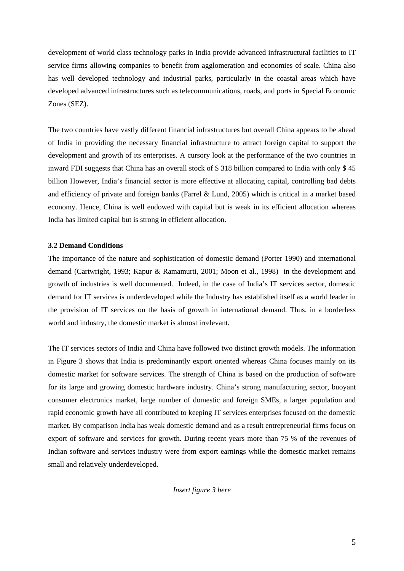development of world class technology parks in India provide advanced infrastructural facilities to IT service firms allowing companies to benefit from agglomeration and economies of scale. China also has well developed technology and industrial parks, particularly in the coastal areas which have developed advanced infrastructures such as telecommunications, roads, and ports in Special Economic Zones (SEZ).

The two countries have vastly different financial infrastructures but overall China appears to be ahead of India in providing the necessary financial infrastructure to attract foreign capital to support the development and growth of its enterprises. A cursory look at the performance of the two countries in inward FDI suggests that China has an overall stock of \$ 318 billion compared to India with only \$ 45 billion However, India's financial sector is more effective at allocating capital, controlling bad debts and efficiency of private and foreign banks (Farrel & Lund, 2005) which is critical in a market based economy. Hence, China is well endowed with capital but is weak in its efficient allocation whereas India has limited capital but is strong in efficient allocation.

### **3.2 Demand Conditions**

The importance of the nature and sophistication of domestic demand (Porter 1990) and international demand (Cartwright, 1993; Kapur & Ramamurti, 2001; Moon et al., 1998) in the development and growth of industries is well documented. Indeed, in the case of India's IT services sector, domestic demand for IT services is underdeveloped while the Industry has established itself as a world leader in the provision of IT services on the basis of growth in international demand. Thus, in a borderless world and industry, the domestic market is almost irrelevant.

The IT services sectors of India and China have followed two distinct growth models. The information in Figure 3 shows that India is predominantly export oriented whereas China focuses mainly on its domestic market for software services. The strength of China is based on the production of software for its large and growing domestic hardware industry. China's strong manufacturing sector, buoyant consumer electronics market, large number of domestic and foreign SMEs, a larger population and rapid economic growth have all contributed to keeping IT services enterprises focused on the domestic market. By comparison India has weak domestic demand and as a result entrepreneurial firms focus on export of software and services for growth. During recent years more than 75 % of the revenues of Indian software and services industry were from export earnings while the domestic market remains small and relatively underdeveloped.

*Insert figure 3 here*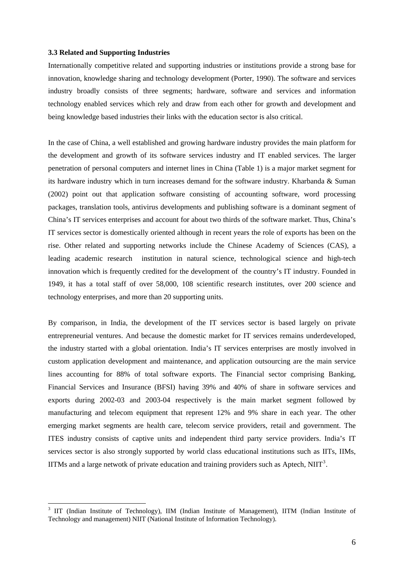### **3.3 Related and Supporting Industries**

<u>.</u>

Internationally competitive related and supporting industries or institutions provide a strong base for innovation, knowledge sharing and technology development (Porter, 1990). The software and services industry broadly consists of three segments; hardware, software and services and information technology enabled services which rely and draw from each other for growth and development and being knowledge based industries their links with the education sector is also critical.

In the case of China, a well established and growing hardware industry provides the main platform for the development and growth of its software services industry and IT enabled services. The larger penetration of personal computers and internet lines in China (Table 1) is a major market segment for its hardware industry which in turn increases demand for the software industry. Kharbanda & Suman (2002) point out that application software consisting of accounting software, word processing packages, translation tools, antivirus developments and publishing software is a dominant segment of China's IT services enterprises and account for about two thirds of the software market. Thus, China's IT services sector is domestically oriented although in recent years the role of exports has been on the rise. Other related and supporting networks include the Chinese Academy of Sciences (CAS), a leading academic research institution in natural science, technological science and high-tech innovation which is frequently credited for the development of the country's IT industry. Founded in 1949, it has a total staff of over 58,000, 108 scientific research institutes, over 200 science and technology enterprises, and more than 20 supporting units.

By comparison, in India, the development of the IT services sector is based largely on private entrepreneurial ventures. And because the domestic market for IT services remains underdeveloped, the industry started with a global orientation. India's IT services enterprises are mostly involved in custom application development and maintenance, and application outsourcing are the main service lines accounting for 88% of total software exports. The Financial sector comprising Banking, Financial Services and Insurance (BFSI) having 39% and 40% of share in software services and exports during 2002-03 and 2003-04 respectively is the main market segment followed by manufacturing and telecom equipment that represent 12% and 9% share in each year. The other emerging market segments are health care, telecom service providers, retail and government. The ITES industry consists of captive units and independent third party service providers. India's IT services sector is also strongly supported by world class educational institutions such as IITs, IIMs, IITMs and a large netwotk of private education and training providers such as Aptech,  $\text{NIT}^3$  $\text{NIT}^3$ .

<span id="page-6-0"></span><sup>3</sup> IIT (Indian Institute of Technology), IIM (Indian Institute of Management), IITM (Indian Institute of Technology and management) NIIT (National Institute of Information Technology).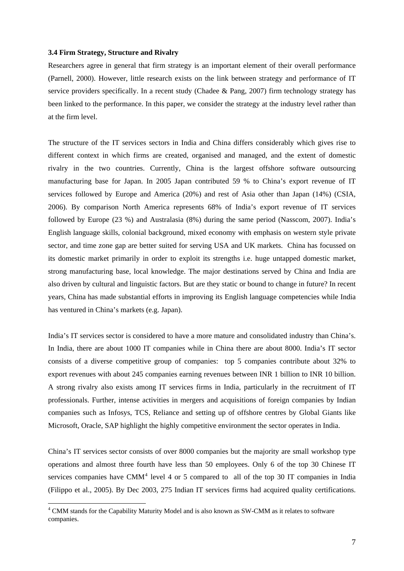### **3.4 Firm Strategy, Structure and Rivalry**

Researchers agree in general that firm strategy is an important element of their overall performance (Parnell, 2000). However, little research exists on the link between strategy and performance of IT service providers specifically. In a recent study (Chadee & Pang, 2007) firm technology strategy has been linked to the performance. In this paper, we consider the strategy at the industry level rather than at the firm level.

The structure of the IT services sectors in India and China differs considerably which gives rise to different context in which firms are created, organised and managed, and the extent of domestic rivalry in the two countries. Currently, China is the largest offshore software outsourcing manufacturing base for Japan. In 2005 Japan contributed 59 % to China's export revenue of IT services followed by Europe and America (20%) and rest of Asia other than Japan (14%) (CSIA, 2006). By comparison North America represents 68% of India's export revenue of IT services followed by Europe (23 %) and Australasia (8%) during the same period (Nasscom, 2007). India's English language skills, colonial background, mixed economy with emphasis on western style private sector, and time zone gap are better suited for serving USA and UK markets. China has focussed on its domestic market primarily in order to exploit its strengths i.e. huge untapped domestic market, strong manufacturing base, local knowledge. The major destinations served by China and India are also driven by cultural and linguistic factors. But are they static or bound to change in future? In recent years, China has made substantial efforts in improving its English language competencies while India has ventured in China's markets (e.g. Japan).

India's IT services sector is considered to have a more mature and consolidated industry than China's. In India, there are about 1000 IT companies while in China there are about 8000. India's IT sector consists of a diverse competitive group of companies: top 5 companies contribute about 32% to export revenues with about 245 companies earning revenues between INR 1 billion to INR 10 billion. A strong rivalry also exists among IT services firms in India, particularly in the recruitment of IT professionals. Further, intense activities in mergers and acquisitions of foreign companies by Indian companies such as Infosys, TCS, Reliance and setting up of offshore centres by Global Giants like Microsoft, Oracle, SAP highlight the highly competitive environment the sector operates in India.

China's IT services sector consists of over 8000 companies but the majority are small workshop type operations and almost three fourth have less than 50 employees. Only 6 of the top 30 Chinese IT services companies have CMM<sup>[4](#page-7-0)</sup> level 4 or 5 compared to all of the top 30 IT companies in India (Filippo et al., 2005). By Dec 2003, 275 Indian IT services firms had acquired quality certifications.

<u>.</u>

<span id="page-7-0"></span><sup>&</sup>lt;sup>4</sup> CMM stands for the Capability Maturity Model and is also known as SW-CMM as it relates to software companies.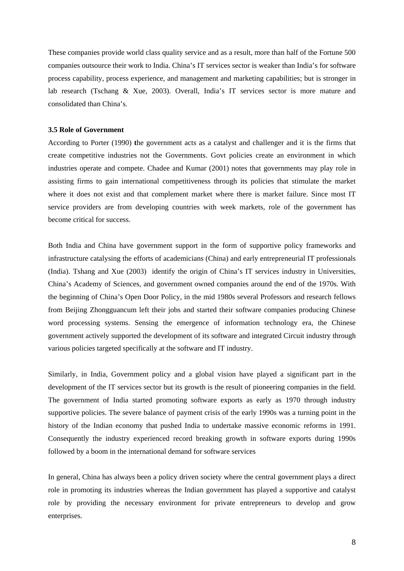These companies provide world class quality service and as a result, more than half of the Fortune 500 companies outsource their work to India. China's IT services sector is weaker than India's for software process capability, process experience, and management and marketing capabilities; but is stronger in lab research (Tschang & Xue, 2003). Overall, India's IT services sector is more mature and consolidated than China's.

## **3.5 Role of Government**

According to Porter (1990) **t**he government acts as a catalyst and challenger and it is the firms that create competitive industries not the Governments. Govt policies create an environment in which industries operate and compete. Chadee and Kumar (2001) notes that governments may play role in assisting firms to gain international competitiveness through its policies that stimulate the market where it does not exist and that complement market where there is market failure. Since most IT service providers are from developing countries with week markets, role of the government has become critical for success.

Both India and China have government support in the form of supportive policy frameworks and infrastructure catalysing the efforts of academicians (China) and early entrepreneurial IT professionals (India). Tshang and Xue (2003) identify the origin of China's IT services industry in Universities, China's Academy of Sciences, and government owned companies around the end of the 1970s. With the beginning of China's Open Door Policy, in the mid 1980s several Professors and research fellows from Beijing Zhongguancum left their jobs and started their software companies producing Chinese word processing systems. Sensing the emergence of information technology era, the Chinese government actively supported the development of its software and integrated Circuit industry through various policies targeted specifically at the software and IT industry.

Similarly, in India, Government policy and a global vision have played a significant part in the development of the IT services sector but its growth is the result of pioneering companies in the field. The government of India started promoting software exports as early as 1970 through industry supportive policies. The severe balance of payment crisis of the early 1990s was a turning point in the history of the Indian economy that pushed India to undertake massive economic reforms in 1991. Consequently the industry experienced record breaking growth in software exports during 1990s followed by a boom in the international demand for software services

In general, China has always been a policy driven society where the central government plays a direct role in promoting its industries whereas the Indian government has played a supportive and catalyst role by providing the necessary environment for private entrepreneurs to develop and grow enterprises.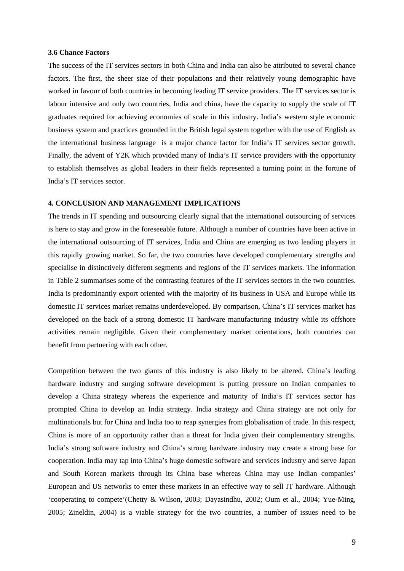### **3.6 Chance Factors**

The success of the IT services sectors in both China and India can also be attributed to several chance factors. The first, the sheer size of their populations and their relatively young demographic have worked in favour of both countries in becoming leading IT service providers. The IT services sector is labour intensive and only two countries, India and china, have the capacity to supply the scale of IT graduates required for achieving economies of scale in this industry. India's western style economic business system and practices grounded in the British legal system together with the use of English as the international business language is a major chance factor for India's IT services sector growth. Finally, the advent of Y2K which provided many of India's IT service providers with the opportunity to establish themselves as global leaders in their fields represented a turning point in the fortune of India's IT services sector.

# **4. CONCLUSION AND MANAGEMENT IMPLICATIONS**

The trends in IT spending and outsourcing clearly signal that the international outsourcing of services is here to stay and grow in the foreseeable future. Although a number of countries have been active in the international outsourcing of IT services, India and China are emerging as two leading players in this rapidly growing market. So far, the two countries have developed complementary strengths and specialise in distinctively different segments and regions of the IT services markets. The information in Table 2 summarises some of the contrasting features of the IT services sectors in the two countries. India is predominantly export oriented with the majority of its business in USA and Europe while its domestic IT services market remains underdeveloped. By comparison, China's IT services market has developed on the back of a strong domestic IT hardware manufacturing industry while its offshore activities remain negligible. Given their complementary market orientations, both countries can benefit from partnering with each other.

Competition between the two giants of this industry is also likely to be altered. China's leading hardware industry and surging software development is putting pressure on Indian companies to develop a China strategy whereas the experience and maturity of India's IT services sector has prompted China to develop an India strategy. India strategy and China strategy are not only for multinationals but for China and India too to reap synergies from globalisation of trade. In this respect, China is more of an opportunity rather than a threat for India given their complementary strengths. India's strong software industry and China's strong hardware industry may create a strong base for cooperation. India may tap into China's huge domestic software and services industry and serve Japan and South Korean markets through its China base whereas China may use Indian companies' European and US networks to enter these markets in an effective way to sell IT hardware. Although 'cooperating to compete'(Chetty & Wilson, 2003; Dayasindhu, 2002; Oum et al., 2004; Yue-Ming, 2005; Zineldin, 2004) is a viable strategy for the two countries, a number of issues need to be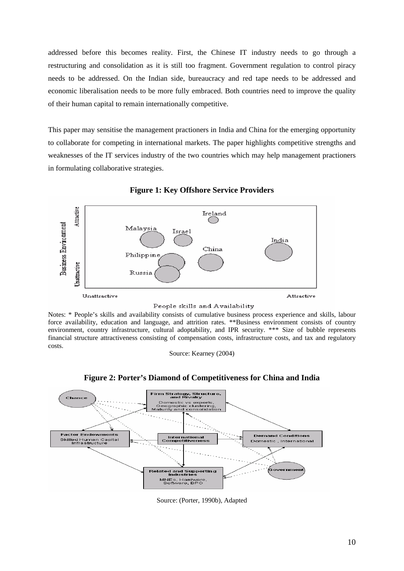addressed before this becomes reality. First, the Chinese IT industry needs to go through a restructuring and consolidation as it is still too fragment. Government regulation to control piracy needs to be addressed. On the Indian side, bureaucracy and red tape needs to be addressed and economic liberalisation needs to be more fully embraced. Both countries need to improve the quality of their human capital to remain internationally competitive.

This paper may sensitise the management practioners in India and China for the emerging opportunity to collaborate for competing in international markets. The paper highlights competitive strengths and weaknesses of the IT services industry of the two countries which may help management practioners in formulating collaborative strategies.



**Figure 1: Key Offshore Service Providers** 

Notes: \* People's skills and availability consists of cumulative business process experience and skills, labour force availability, education and language, and attrition rates. \*\*Business environment consists of country environment, country infrastructure, cultural adoptability, and IPR security. \*\*\* Size of bubble represents financial structure attractiveness consisting of compensation costs, infrastructure costs, and tax and regulatory

costs.

Source: Kearney (2004)



**Figure 2: Porter's Diamond of Competitiveness for China and India** 

Source: (Porter, 1990b), Adapted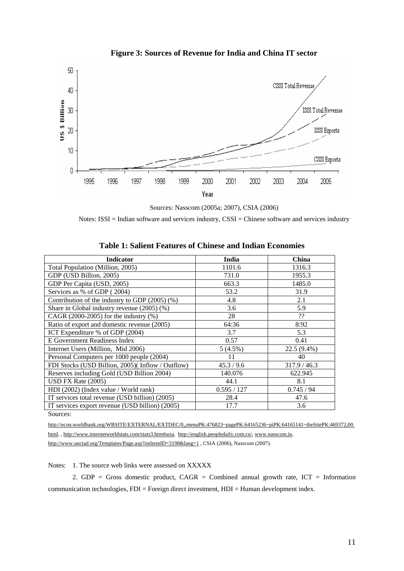

**Figure 3: Sources of Revenue for India and China IT sector** 

Sources: Nasscom (2005a; 2007), CSIA (2006)

Notes: ISSI = Indian software and services industry, CSSI = Chinese software and services industry

| <b>Indicator</b>                                 | India      | <b>China</b> |
|--------------------------------------------------|------------|--------------|
| Total Population (Million, 2005)                 | 1101.6     | 1316.3       |
| GDP (USD Billion, 2005)                          | 731.0      | 1955.3       |
| GDP Per Capita (USD, 2005)                       | 663.3      | 1485.0       |
| Services as % of GDP (2004)                      | 53.2       | 31.9         |
| Contribution of the industry to GDP (2005) (%)   | 4.8        | 2.1          |
| Share in Global industry revenue $(2005)$ $(\%)$ | 3.6        | 5.9          |
| CAGR $(2000-2005)$ for the industry $(\%)$       | 28         | ??           |
| Ratio of export and domestic revenue (2005)      | 64:36      | 8:92         |
| ICT Expenditure % of GDP (2004)                  | 3.7        | 5.3          |
| E Government Readiness Index                     | 0.57       | 0.41         |
| Internet Users (Million, Mid 2006)               | $5(4.5\%)$ | 22.5 (9.4%)  |
| Personal Computers per 1000 people (2004)        | 11         | 40           |
| FDI Stocks (USD Billion, 2005)(Inflow / Outflow) | 45.3 / 9.6 | 317.9 / 46.3 |
| Reserves including Gold (USD Billion 2004)       | 140.076    | 622.945      |
| USD FX Rate $(2005)$                             | 44.1       | 8.1          |
| HDI (2002) (Index value / World rank)            | 0.595/127  | 0.745/94     |
| IT services total revenue (USD billion) (2005)   | 28.4       | 47.6         |
| IT services export revenue (USD billion) (2005)  | 17.7       | 3.6          |
| Sources:                                         |            |              |

**Table 1: Salient Features of Chinese and Indian Economies** 

[http://econ.worldbank.org/WBSITE/EXTERNAL/EXTDEC/0,,menuPK:476823~pagePK:64165236~piPK:64165141~theSitePK:469372,00.](http://econ.worldbank.org/WBSITE/EXTERNAL/EXTDEC/0,,menuPK:476823%7EpagePK:64165236%7EpiPK:64165141%7EtheSitePK:469372,00.html) [html,](http://econ.worldbank.org/WBSITE/EXTERNAL/EXTDEC/0,,menuPK:476823%7EpagePK:64165236%7EpiPK:64165141%7EtheSitePK:469372,00.html) , [http://www.internetworldstats.com/stats3.htm#asia,](http://www.internetworldstats.com/stats3.htm#asia) [http://english.peopledaily.com.cn/,](http://english.peopledaily.com.cn/) [www.nasscom.in,](http://www.nasscom.in/)

http://www.unctad.org/Templates/Page.asp?intItemID=3198&lang=1, CSIA (2006), Nasscom (2007).

Notes: 1. The source web links were assessed on XXXXX

2. GDP = Gross domestic product,  $CAGR =$  Combined annual growth rate,  $ICT =$  Information communication technologies, FDI = Foreign direct investment, HDI = Human development index.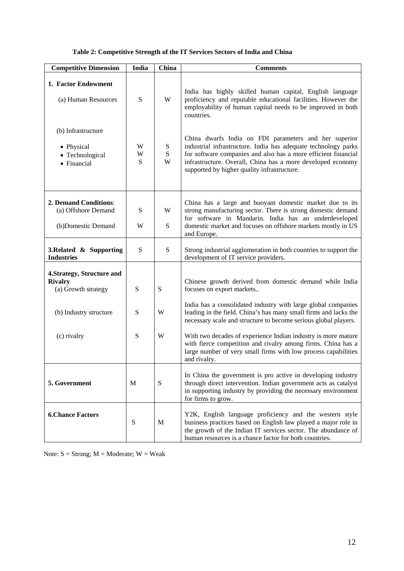| Table 2: Competitive Strength of the IT Services Sectors of India and China |  |  |  |
|-----------------------------------------------------------------------------|--|--|--|
|-----------------------------------------------------------------------------|--|--|--|

| <b>Competitive Dimension</b>                                        | India       | China               | <b>Comments</b>                                                                                                                                                                                                                                                                                         |
|---------------------------------------------------------------------|-------------|---------------------|---------------------------------------------------------------------------------------------------------------------------------------------------------------------------------------------------------------------------------------------------------------------------------------------------------|
| 1. Factor Endowment<br>(a) Human Resources                          | S           | W                   | India has highly skilled human capital, English language<br>proficiency and reputable educational facilities. However the<br>employability of human capital needs to be improved in both<br>countries.                                                                                                  |
| (b) Infrastructure<br>• Physical<br>• Technological<br>• Financial  | W<br>W<br>S | ${\bf S}$<br>S<br>W | China dwarfs India on FDI parameters and her superior<br>industrial infrastructure. India has adequate technology parks<br>for software companies and also has a more efficient financial<br>infrastructure. Overall, China has a more developed economy<br>supported by higher quality infrastructure. |
| 2. Demand Conditions:<br>(a) Offshore Demand<br>(b)Domestic Demand  | S<br>W      | W<br>S              | China has a large and buoyant domestic market due to its<br>strong manufacturing sector. There is strong domestic demand<br>for software in Mandarin. India has an underdeveloped<br>domestic market and focuses on offshore markets mostly in US<br>and Europe.                                        |
| 3. Related $\&$ Supporting<br><b>Industries</b>                     | S           | S                   | Strong industrial agglomeration in both countries to support the<br>development of IT service providers.                                                                                                                                                                                                |
| 4. Strategy, Structure and<br><b>Rivalry</b><br>(a) Growth strategy | S           | ${\bf S}$           | Chinese growth derived from domestic demand while India<br>focuses on export markets                                                                                                                                                                                                                    |
| (b) Industry structure                                              | S           | W                   | India has a consolidated industry with large global companies<br>leading in the field. China's has many small firms and lacks the<br>necessary scale and structure to become serious global players.                                                                                                    |
| (c) rivalry                                                         | S           | W                   | With two decades of experience Indian industry is more mature<br>with fierce competition and rivalry among firms. China has a<br>large number of very small firms with low process capabilities<br>and rivalry.                                                                                         |
| 5. Government                                                       | M           | ${\bf S}$           | In China the government is pro active in developing industry<br>through direct intervention. Indian government acts as catalyst<br>in supporting industry by providing the necessary environment<br>for firms to grow.                                                                                  |
| <b>6.Chance Factors</b>                                             | ${\bf S}$   | M                   | Y2K, English language proficiency and the western style<br>business practices based on English law played a major role in<br>the growth of the Indian IT services sector. The abundance of<br>human resources is a chance factor for both countries.                                                    |

Note:  $S =$  Strong;  $M =$  Moderate;  $W =$  Weak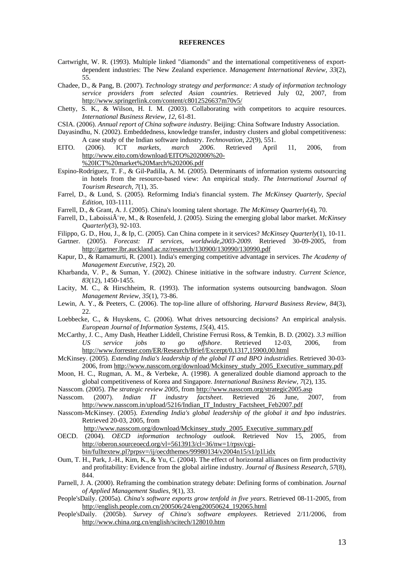#### **REFERENCES**

- Cartwright, W. R. (1993). Multiple linked "diamonds" and the international competitiveness of exportdependent industries: The New Zealand experience. *Management International Review, 33*(2), 55.
- Chadee, D., & Pang, B. (2007). *Technology strategy and performance: A study of information technology service providers from selected Asian countries*. Retrieved July 02, 2007, from <http://www.springerlink.com/content/c8012526637m70v5/>
- Chetty, S. K., & Wilson, H. I. M. (2003). Collaborating with competitors to acquire resources. *International Business Review, 12*, 61-81.
- CSIA. (2006). *Annual report of China software industry*. Beijing: China Software Industry Association.
- Dayasindhu, N. (2002). Embeddedness, knowledge transfer, industry clusters and global competitiveness: A case study of the Indian software industry. *Technovation, 22*(9), 551.
- EITO. (2006). ICT *markets, march 2006*. Retrieved April 11, 2006, from [http://www.eito.com/download/EITO%202006%20-](http://www.eito.com/download/EITO%202006%20-%20ICT%20market%20March%202006.pdf) [%20ICT%20market%20March%202006.pdf](http://www.eito.com/download/EITO%202006%20-%20ICT%20market%20March%202006.pdf)
- Espino-Rodríguez, T. F., & Gil-Padilla, A. M. (2005). Determinants of information systems outsourcing in hotels from the resource-based view: An empirical study. *The International Journal of Tourism Research, 7*(1), 35.
- Farrel, D., & Lund, S. (2005). Reformimg India's financial system. *The McKinsey Quarterly, Special Edition*, 103-1111.
- Farrell, D., & Grant, A. J. (2005). China's looming talent shortage. *The McKinsey Quarterly*(4), 70.
- Farrell, D., Laboissi $\tilde{A}$  re, M., & Rosenfeld, J. (2005). Sizing the emerging global labor market. *McKinsey Quarterly*(3), 92-103.
- Filippo, G. D., Hou, J., & Ip, C. (2005). Can China compete in it services? *McKinsey Quarterly*(1), 10-11.
- Gartner. (2005). *Forecast: IT services, worldwide,2003-2009*. Retrieved 30-09-2005, from <http://gartner.lbr.auckland.ac.nz/research/130900/130990/130990.pdf>
- Kapur, D., & Ramamurti, R. (2001). India's emerging competitive advantage in services. *The Academy of Management Executive, 15*(2), 20.
- Kharbanda, V. P., & Suman, Y. (2002). Chinese initiative in the software industry. *Current Science, 83*(12), 1450-1455.
- Lacity, M. C., & Hirschheim, R. (1993). The information systems outsourcing bandwagon. *Sloan Management Review, 35*(1), 73-86.
- Lewin, A. Y., & Peeters, C. (2006). The top-line allure of offshoring. *Harvard Business Review, 84*(3), 22.
- Loebbecke, C., & Huyskens, C. (2006). What drives netsourcing decisions? An empirical analysis. *European Journal of Information Systems, 15*(4), 415.
- McCarthy, J. C., Amy Dash, Heather Liddell, Christine Ferrusi Ross, & Temkin, B. D. (2002). *3.3 million US service jobs to go offshore*. Retrieved 12-03, 2006, from <http://www.forrester.com/ER/Research/Brief/Excerpt/0,1317,15900,00.html>
- McKinsey. (2005). *Extending India's leadership of the global IT and BPO industridies*. Retrieved 30-03- 2006, from [http://www.nasscom.org/download/Mckinsey\\_study\\_2005\\_Executive\\_summary.pdf](http://www.nasscom.org/download/Mckinsey_study_2005_Executive_summary.pdf)
- Moon, H. C., Rugman, A. M., & Verbeke, A. (1998). A generalized double diamond approach to the global competitiveness of Korea and Singapore. *International Business Review, 7*(2), 135.
- Nasscom. (2005). *The strategic review 2005*, from<http://www.nasscom.org/strategic2005.asp>
- Nasscom. (2007). *Indian IT industry factsheet*. Retrieved 26 June, 2007, from [http://www.nasscom.in/upload/5216/Indian\\_IT\\_Industry\\_Factsheet\\_Feb2007.pdf](http://www.nasscom.in/upload/5216/Indian_IT_Industry_Factsheet_Feb2007.pdf)
- Nasscom-McKinsey. (2005). *Extending India's global leadership of the global it and bpo industries*. Retrieved 20-03, 2005, from

[http://www.nasscom.org/download/Mckinsey\\_study\\_2005\\_Executive\\_summary.pdf](http://www.nasscom.org/download/Mckinsey_study_2005_Executive_summary.pdf)

OECD. (2004). *OECD information technology outlook*. Retrieved Nov 15, 2005, from [http://oberon.sourceoecd.org/vl=5613913/cl=36/nw=1/rpsv/cgi-](http://oberon.sourceoecd.org/vl=5613913/cl=36/nw=1/rpsv/cgi-bin/fulltextew.pl?prpsv=/ij/oecdthemes/99980134/v2004n15/s1/p1l.idx)

[bin/fulltextew.pl?prpsv=/ij/oecdthemes/99980134/v2004n15/s1/p1l.idx](http://oberon.sourceoecd.org/vl=5613913/cl=36/nw=1/rpsv/cgi-bin/fulltextew.pl?prpsv=/ij/oecdthemes/99980134/v2004n15/s1/p1l.idx)

- Oum, T. H., Park, J.-H., Kim, K., & Yu, C. (2004). The effect of horizontal alliances on firm productivity and profitability: Evidence from the global airline industry. *Journal of Business Research, 57*(8), 844.
- Parnell, J. A. (2000). Reframing the combination strategy debate: Defining forms of combination. *Journal of Applied Management Studies, 9*(1), 33.
- People'sDaily. (2005a). *China's software exports grow tenfold in five years*. Retrieved 08-11-2005, from [http://english.people.com.cn/200506/24/eng20050624\\_192065.html](http://english.people.com.cn/200506/24/eng20050624_192065.html)
- People'sDaily. (2005b). *Survey of China's software employees*. Retrieved 2/11/2006, from <http://www.china.org.cn/english/scitech/128010.htm>